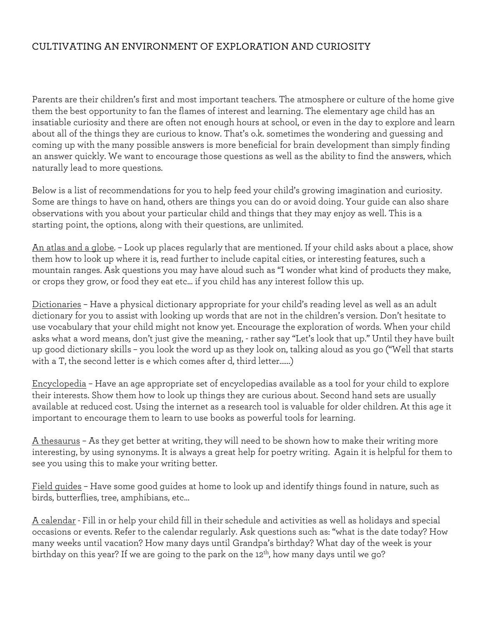## CULTIVATING AN ENVIRONMENT OF EXPLORATION AND CURIOSITY

Parents are their children's first and most important teachers. The atmosphere or culture of the home give them the best opportunity to fan the flames of interest and learning. The elementary age child has an insatiable curiosity and there are often not enough hours at school, or even in the day to explore and learn about all of the things they are curious to know. That's o.k. sometimes the wondering and guessing and coming up with the many possible answers is more beneficial for brain development than simply finding an answer quickly. We want to encourage those questions as well as the ability to find the answers, which naturally lead to more questions.

Below is a list of recommendations for you to help feed your child's growing imagination and curiosity. Some are things to have on hand, others are things you can do or avoid doing. Your guide can also share observations with you about your particular child and things that they may enjoy as well. This is a starting point, the options, along with their questions, are unlimited.

An atlas and a globe. – Look up places regularly that are mentioned. If your child asks about a place, show them how to look up where it is, read further to include capital cities, or interesting features, such a mountain ranges. Ask questions you may have aloud such as "I wonder what kind of products they make, or crops they grow, or food they eat etc… if you child has any interest follow this up.

Dictionaries – Have a physical dictionary appropriate for your child's reading level as well as an adult dictionary for you to assist with looking up words that are not in the children's version. Don't hesitate to use vocabulary that your child might not know yet. Encourage the exploration of words. When your child asks what a word means, don't just give the meaning, - rather say "Let's look that up." Until they have built up good dictionary skills – you look the word up as they look on, talking aloud as you go ("Well that starts with a T, the second letter is e which comes after d, third letter……)

Encyclopedia – Have an age appropriate set of encyclopedias available as a tool for your child to explore their interests. Show them how to look up things they are curious about. Second hand sets are usually available at reduced cost. Using the internet as a research tool is valuable for older children. At this age it important to encourage them to learn to use books as powerful tools for learning.

A thesaurus – As they get better at writing, they will need to be shown how to make their writing more interesting, by using synonyms. It is always a great help for poetry writing. Again it is helpful for them to see you using this to make your writing better.

Field guides – Have some good guides at home to look up and identify things found in nature, such as birds, butterflies, tree, amphibians, etc…

A calendar - Fill in or help your child fill in their schedule and activities as well as holidays and special occasions or events. Refer to the calendar regularly. Ask questions such as: "what is the date today? How many weeks until vacation? How many days until Grandpa's birthday? What day of the week is your birthday on this year? If we are going to the park on the 12<sup>th</sup>, how many days until we go?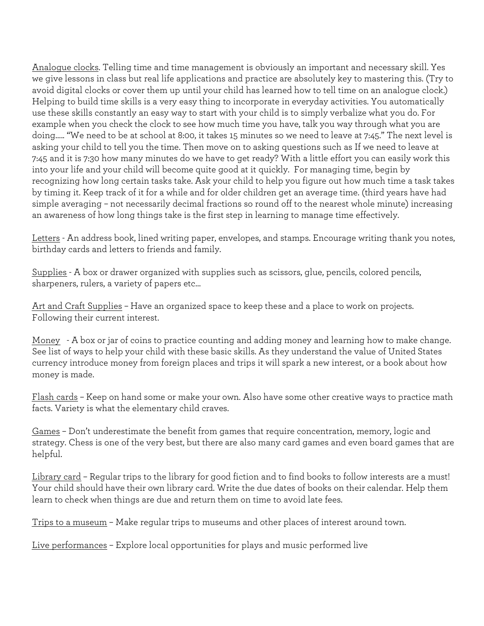Analogue clocks. Telling time and time management is obviously an important and necessary skill. Yes we give lessons in class but real life applications and practice are absolutely key to mastering this. (Try to avoid digital clocks or cover them up until your child has learned how to tell time on an analogue clock.) Helping to build time skills is a very easy thing to incorporate in everyday activities. You automatically use these skills constantly an easy way to start with your child is to simply verbalize what you do. For example when you check the clock to see how much time you have, talk you way through what you are doing….. "We need to be at school at 8:00, it takes 15 minutes so we need to leave at 7:45." The next level is asking your child to tell you the time. Then move on to asking questions such as If we need to leave at 7:45 and it is 7:30 how many minutes do we have to get ready? With a little effort you can easily work this into your life and your child will become quite good at it quickly. For managing time, begin by recognizing how long certain tasks take. Ask your child to help you figure out how much time a task takes by timing it. Keep track of it for a while and for older children get an average time. (third years have had simple averaging – not necessarily decimal fractions so round off to the nearest whole minute) increasing an awareness of how long things take is the first step in learning to manage time effectively.

Letters - An address book, lined writing paper, envelopes, and stamps. Encourage writing thank you notes, birthday cards and letters to friends and family.

Supplies - A box or drawer organized with supplies such as scissors, glue, pencils, colored pencils, sharpeners, rulers, a variety of papers etc…

Art and Craft Supplies – Have an organized space to keep these and a place to work on projects. Following their current interest.

Money - A box or jar of coins to practice counting and adding money and learning how to make change. See list of ways to help your child with these basic skills. As they understand the value of United States currency introduce money from foreign places and trips it will spark a new interest, or a book about how money is made.

Flash cards – Keep on hand some or make your own. Also have some other creative ways to practice math facts. Variety is what the elementary child craves.

Games – Don't underestimate the benefit from games that require concentration, memory, logic and strategy. Chess is one of the very best, but there are also many card games and even board games that are helpful.

Library card – Regular trips to the library for good fiction and to find books to follow interests are a must! Your child should have their own library card. Write the due dates of books on their calendar. Help them learn to check when things are due and return them on time to avoid late fees.

Trips to a museum – Make regular trips to museums and other places of interest around town.

Live performances – Explore local opportunities for plays and music performed live